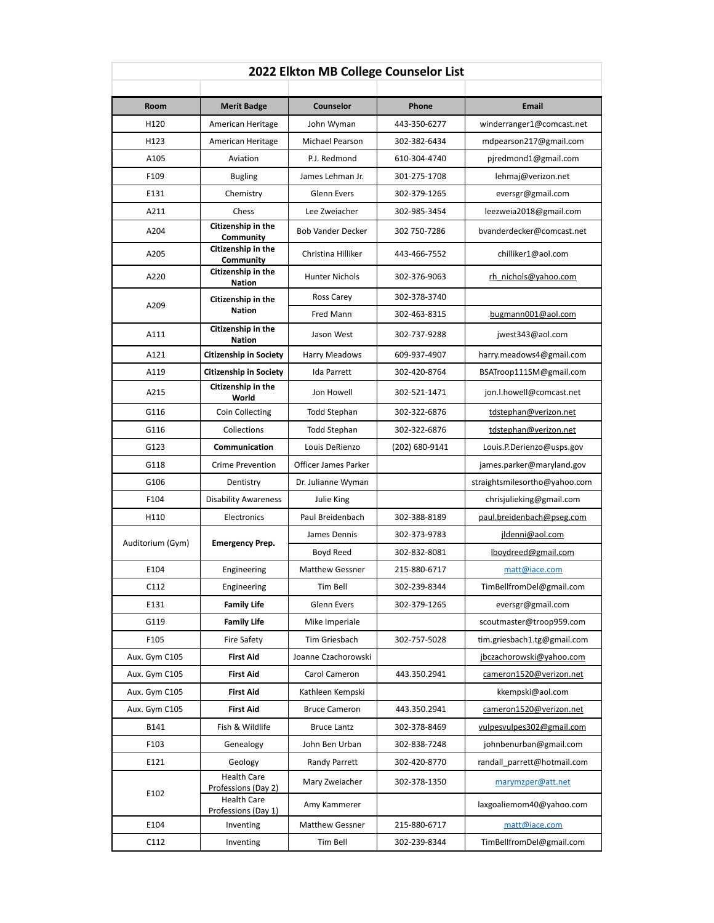| 2022 Elkton MB College Counselor List |                                           |                          |                |                               |  |  |  |
|---------------------------------------|-------------------------------------------|--------------------------|----------------|-------------------------------|--|--|--|
|                                       |                                           |                          | <b>Phone</b>   |                               |  |  |  |
| Room                                  | <b>Merit Badge</b>                        | Counselor                |                | Email                         |  |  |  |
| H120                                  | American Heritage                         | John Wyman               | 443-350-6277   | winderranger1@comcast.net     |  |  |  |
| H123                                  | American Heritage                         | Michael Pearson          | 302-382-6434   | mdpearson217@gmail.com        |  |  |  |
| A105                                  | Aviation                                  | P.J. Redmond             | 610-304-4740   | pjredmond1@gmail.com          |  |  |  |
| F109                                  | <b>Bugling</b>                            | James Lehman Jr.         | 301-275-1708   | lehmaj@verizon.net            |  |  |  |
| E131                                  | Chemistry                                 | <b>Glenn Evers</b>       | 302-379-1265   | eversgr@gmail.com             |  |  |  |
| A211                                  | Chess<br>Citizenship in the               | Lee Zweiacher            | 302-985-3454   | leezweia2018@gmail.com        |  |  |  |
| A204                                  | Community                                 | <b>Bob Vander Decker</b> | 302 750-7286   | bvanderdecker@comcast.net     |  |  |  |
| A205                                  | Citizenship in the<br>Community           | Christina Hilliker       | 443-466-7552   | chilliker1@aol.com            |  |  |  |
| A220                                  | Citizenship in the<br><b>Nation</b>       | <b>Hunter Nichols</b>    | 302-376-9063   | rh nichols@yahoo.com          |  |  |  |
| A209                                  | Citizenship in the                        | Ross Carey               | 302-378-3740   |                               |  |  |  |
|                                       | <b>Nation</b>                             | Fred Mann                | 302-463-8315   | bugmann001@aol.com            |  |  |  |
| A111                                  | Citizenship in the<br><b>Nation</b>       | Jason West               | 302-737-9288   | jwest343@aol.com              |  |  |  |
| A121                                  | <b>Citizenship in Society</b>             | Harry Meadows            | 609-937-4907   | harry.meadows4@gmail.com      |  |  |  |
| A119                                  | <b>Citizenship in Society</b>             | Ida Parrett              | 302-420-8764   | BSATroop111SM@gmail.com       |  |  |  |
| A215                                  | Citizenship in the<br>World               | Jon Howell               | 302-521-1471   | jon.l.howell@comcast.net      |  |  |  |
| G116                                  | Coin Collecting                           | <b>Todd Stephan</b>      | 302-322-6876   | tdstephan@verizon.net         |  |  |  |
| G116                                  | Collections                               | <b>Todd Stephan</b>      | 302-322-6876   | tdstephan@verizon.net         |  |  |  |
| G123                                  | Communication                             | Louis DeRienzo           | (202) 680-9141 | Louis.P.Derienzo@usps.gov     |  |  |  |
| G118                                  | <b>Crime Prevention</b>                   | Officer James Parker     |                | james.parker@maryland.gov     |  |  |  |
| G106                                  | Dentistry                                 | Dr. Julianne Wyman       |                | straightsmilesortho@yahoo.com |  |  |  |
| F104                                  | <b>Disability Awareness</b>               | Julie King               |                | chrisjulieking@gmail.com      |  |  |  |
| H110                                  | Electronics                               | Paul Breidenbach         | 302-388-8189   | paul.breidenbach@pseg.com     |  |  |  |
|                                       | <b>Emergency Prep.</b>                    | James Dennis             | 302-373-9783   | jldenni@aol.com               |  |  |  |
| Auditorium (Gym)                      |                                           | Boyd Reed                | 302-832-8081   | lboydreed@gmail.com           |  |  |  |
| E104                                  | Engineering                               | <b>Matthew Gessner</b>   | 215-880-6717   | matt@iace.com                 |  |  |  |
| C112                                  | Engineering                               | Tim Bell                 | 302-239-8344   | TimBellfromDel@gmail.com      |  |  |  |
| E131                                  | <b>Family Life</b>                        | Glenn Evers              | 302-379-1265   | eversgr@gmail.com             |  |  |  |
| G119                                  | <b>Family Life</b>                        | Mike Imperiale           |                | scoutmaster@troop959.com      |  |  |  |
| F105                                  | Fire Safety                               | Tim Griesbach            | 302-757-5028   | tim.griesbach1.tg@gmail.com   |  |  |  |
| Aux. Gym C105                         | <b>First Aid</b>                          | Joanne Czachorowski      |                | jbczachorowski@yahoo.com      |  |  |  |
| Aux. Gym C105                         | <b>First Aid</b>                          | Carol Cameron            | 443.350.2941   | cameron1520@verizon.net       |  |  |  |
| Aux. Gym C105                         | <b>First Aid</b>                          | Kathleen Kempski         |                | kkempski@aol.com              |  |  |  |
| Aux. Gym C105                         | <b>First Aid</b>                          | <b>Bruce Cameron</b>     | 443.350.2941   | cameron1520@verizon.net       |  |  |  |
| B141                                  | Fish & Wildlife                           | <b>Bruce Lantz</b>       | 302-378-8469   | vulpesvulpes302@gmail.com     |  |  |  |
| F103                                  | Genealogy                                 | John Ben Urban           | 302-838-7248   | johnbenurban@gmail.com        |  |  |  |
| E121                                  | Geology                                   | Randy Parrett            | 302-420-8770   | randall parrett@hotmail.com   |  |  |  |
| E102                                  | <b>Health Care</b><br>Professions (Day 2) | Mary Zweiacher           | 302-378-1350   | marymzper@att.net             |  |  |  |
|                                       | <b>Health Care</b><br>Professions (Day 1) | Amy Kammerer             |                | laxgoaliemom40@yahoo.com      |  |  |  |
| E104                                  | Inventing                                 | <b>Matthew Gessner</b>   | 215-880-6717   | matt@iace.com                 |  |  |  |
| C112                                  | Inventing                                 | Tim Bell                 | 302-239-8344   | TimBellfromDel@gmail.com      |  |  |  |